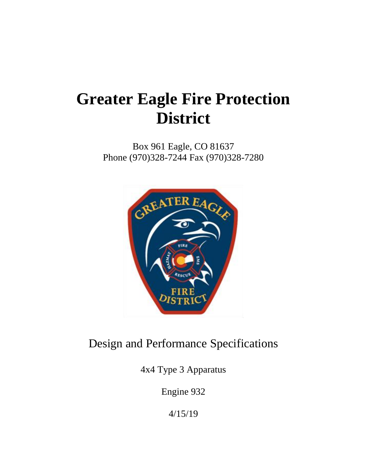# **Greater Eagle Fire Protection District**

Box 961 Eagle, CO 81637 Phone (970)328-7244 Fax (970)328-7280



## Design and Performance Specifications

4x4 Type 3 Apparatus

Engine 932

4/15/19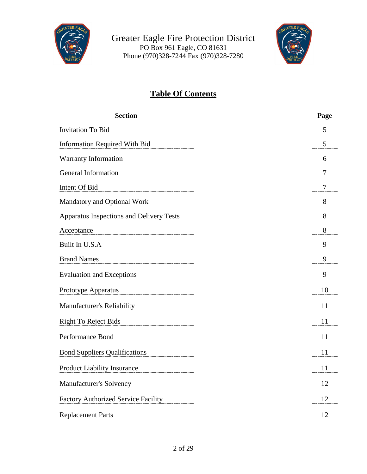



### **Table Of Contents**

| <b>Section</b>                             | Page           |
|--------------------------------------------|----------------|
| <b>Invitation To Bid</b>                   | 5              |
| <b>Information Required With Bid</b>       | 5              |
| Warranty Information                       | 6              |
| General Information                        | $\overline{7}$ |
| Intent Of Bid                              | 7              |
| Mandatory and Optional Work                | 8              |
| Apparatus Inspections and Delivery Tests   | 8              |
| Acceptance                                 | 8              |
| Built In U.S.A                             | 9              |
| <b>Brand Names</b>                         | 9              |
| <b>Evaluation and Exceptions</b>           | 9              |
| Prototype Apparatus                        | 10             |
| Manufacturer's Reliability                 | 11             |
| <b>Right To Reject Bids</b>                | 11             |
| Performance Bond                           | 11             |
| <b>Bond Suppliers Qualifications</b>       | 11             |
| <b>Product Liability Insurance</b>         | 11             |
| Manufacturer's Solvency                    | 12             |
| <b>Factory Authorized Service Facility</b> | 12             |
| <b>Replacement Parts</b>                   | 12             |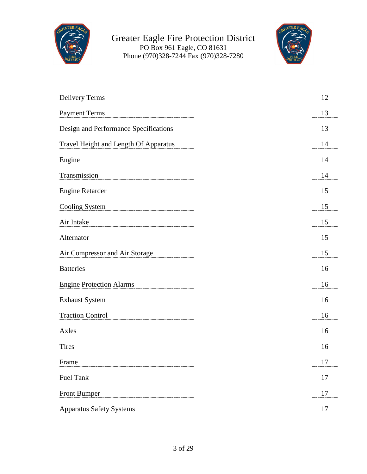



| <b>Delivery Terms</b>                 | 12                        |
|---------------------------------------|---------------------------|
| <b>Payment Terms</b>                  | 13                        |
| Design and Performance Specifications | 13                        |
| Travel Height and Length Of Apparatus | 14                        |
| Engine                                | 14                        |
| Transmission                          | 14                        |
| <b>Engine Retarder</b>                | 15                        |
| Cooling System                        | 15                        |
| Air Intake                            | 15                        |
| Alternator                            | 15                        |
| Air Compressor and Air Storage        | 15                        |
| <b>Batteries</b>                      | 16                        |
| <b>Engine Protection Alarms</b>       | 16                        |
| <b>Exhaust System</b>                 | 16                        |
| <b>Traction Control</b>               | 16                        |
| Axles                                 | 16                        |
| <b>Tires</b>                          | 16                        |
| Ð<br>Frame                            | 1 <sub>7</sub><br>$\perp$ |
| <b>Fuel Tank</b>                      | 17                        |
| Front Bumper                          | 17                        |
| <b>Apparatus Safety Systems</b>       | 17                        |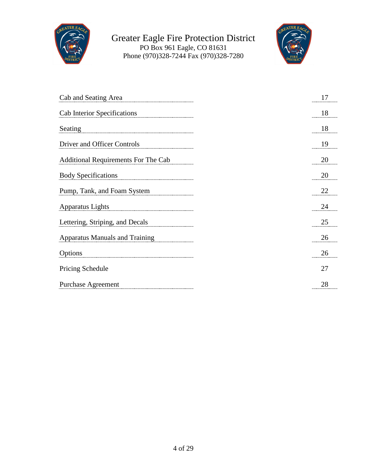



| Cab and Seating Area                       | 17 |
|--------------------------------------------|----|
| Cab Interior Specifications                | 18 |
| Seating                                    | 18 |
| Driver and Officer Controls                | 19 |
| <b>Additional Requirements For The Cab</b> | 20 |
| <b>Body Specifications</b>                 | 20 |
| Pump, Tank, and Foam System                | 22 |
| Apparatus Lights                           | 24 |
| Lettering, Striping, and Decals            | 25 |
| <b>Apparatus Manuals and Training</b>      | 26 |
| Options                                    | 26 |
| Pricing Schedule                           | 27 |
| <b>Purchase Agreement</b>                  | 28 |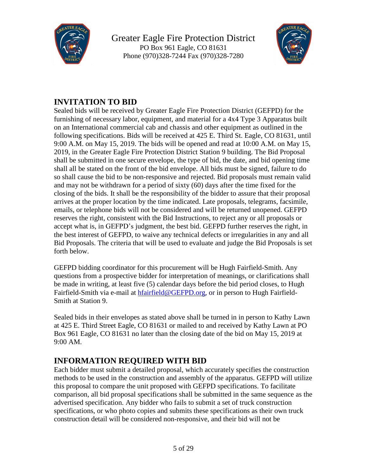



### **INVITATION TO BID**

Sealed bids will be received by Greater Eagle Fire Protection District (GEFPD) for the furnishing of necessary labor, equipment, and material for a 4x4 Type 3 Apparatus built on an International commercial cab and chassis and other equipment as outlined in the following specifications. Bids will be received at 425 E. Third St. Eagle, CO 81631, until 9:00 A.M. on May 15, 2019. The bids will be opened and read at 10:00 A.M. on May 15, 2019, in the Greater Eagle Fire Protection District Station 9 building. The Bid Proposal shall be submitted in one secure envelope, the type of bid, the date, and bid opening time shall all be stated on the front of the bid envelope. All bids must be signed, failure to do so shall cause the bid to be non-responsive and rejected. Bid proposals must remain valid and may not be withdrawn for a period of sixty (60) days after the time fixed for the closing of the bids. It shall be the responsibility of the bidder to assure that their proposal arrives at the proper location by the time indicated. Late proposals, telegrams, facsimile, emails, or telephone bids will not be considered and will be returned unopened. GEFPD reserves the right, consistent with the Bid Instructions, to reject any or all proposals or accept what is, in GEFPD's judgment, the best bid. GEFPD further reserves the right, in the best interest of GEFPD, to waive any technical defects or irregularities in any and all Bid Proposals. The criteria that will be used to evaluate and judge the Bid Proposals is set forth below.

GEFPD bidding coordinator for this procurement will be Hugh Fairfield-Smith. Any questions from a prospective bidder for interpretation of meanings, or clarifications shall be made in writing, at least five (5) calendar days before the bid period closes, to Hugh Fairfield-Smith via e-mail at [hfairfield@GEFPD.org,](mailto:hfairfield@GEFPD.org) or in person to Hugh Fairfield-Smith at Station 9.

Sealed bids in their envelopes as stated above shall be turned in in person to Kathy Lawn at 425 E. Third Street Eagle, CO 81631 or mailed to and received by Kathy Lawn at PO Box 961 Eagle, CO 81631 no later than the closing date of the bid on May 15, 2019 at 9:00 AM.

#### **INFORMATION REQUIRED WITH BID**

Each bidder must submit a detailed proposal, which accurately specifies the construction methods to be used in the construction and assembly of the apparatus. GEFPD will utilize this proposal to compare the unit proposed with GEFPD specifications. To facilitate comparison, all bid proposal specifications shall be submitted in the same sequence as the advertised specification. Any bidder who fails to submit a set of truck construction specifications, or who photo copies and submits these specifications as their own truck construction detail will be considered non-responsive, and their bid will not be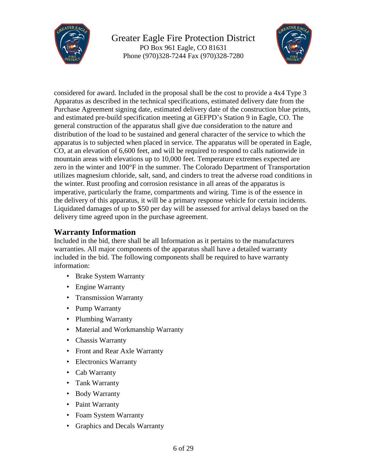



considered for award. Included in the proposal shall be the cost to provide a 4x4 Type 3 Apparatus as described in the technical specifications, estimated delivery date from the Purchase Agreement signing date, estimated delivery date of the construction blue prints, and estimated pre-build specification meeting at GEFPD's Station 9 in Eagle, CO. The general construction of the apparatus shall give due consideration to the nature and distribution of the load to be sustained and general character of the service to which the apparatus is to subjected when placed in service. The apparatus will be operated in Eagle, CO, at an elevation of 6,600 feet, and will be required to respond to calls nationwide in mountain areas with elevations up to 10,000 feet. Temperature extremes expected are zero in the winter and 100°F in the summer. The Colorado Department of Transportation utilizes magnesium chloride, salt, sand, and cinders to treat the adverse road conditions in the winter. Rust proofing and corrosion resistance in all areas of the apparatus is imperative, particularly the frame, compartments and wiring. Time is of the essence in the delivery of this apparatus, it will be a primary response vehicle for certain incidents. Liquidated damages of up to \$50 per day will be assessed for arrival delays based on the delivery time agreed upon in the purchase agreement.

#### **Warranty Information**

Included in the bid, there shall be all Information as it pertains to the manufacturers warranties. All major components of the apparatus shall have a detailed warranty included in the bid. The following components shall be required to have warranty information:

- Brake System Warranty
- Engine Warranty
- Transmission Warranty
- Pump Warranty
- Plumbing Warranty
- Material and Workmanship Warranty
- Chassis Warranty
- Front and Rear Axle Warranty
- Electronics Warranty
- Cab Warranty
- Tank Warranty
- Body Warranty
- Paint Warranty
- Foam System Warranty
- Graphics and Decals Warranty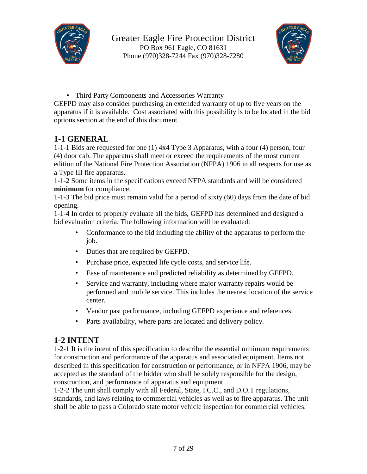



• Third Party Components and Accessories Warranty

GEFPD may also consider purchasing an extended warranty of up to five years on the apparatus if it is available. Cost associated with this possibility is to be located in the bid options section at the end of this document.

#### **1-1 GENERAL**

1-1-1 Bids are requested for one (1) 4x4 Type 3 Apparatus, with a four (4) person, four (4) door cab. The apparatus shall meet or exceed the requirements of the most current edition of the National Fire Protection Association (NFPA) 1906 in all respects for use as a Type III fire apparatus.

1-1-2 Some items in the specifications exceed NFPA standards and will be considered **minimum** for compliance.

1-1-3 The bid price must remain valid for a period of sixty (60) days from the date of bid opening.

1-1-4 In order to properly evaluate all the bids, GEFPD has determined and designed a bid evaluation criteria. The following information will be evaluated:

- Conformance to the bid including the ability of the apparatus to perform the job.
- Duties that are required by GEFPD.
- Purchase price, expected life cycle costs, and service life.
- Ease of maintenance and predicted reliability as determined by GEFPD.
- Service and warranty, including where major warranty repairs would be performed and mobile service. This includes the nearest location of the service center.
- Vendor past performance, including GEFPD experience and references.
- Parts availability, where parts are located and delivery policy.

#### **1-2 INTENT**

1-2-1 It is the intent of this specification to describe the essential minimum requirements for construction and performance of the apparatus and associated equipment. Items not described in this specification for construction or performance, or in NFPA 1906, may be accepted as the standard of the bidder who shall be solely responsible for the design, construction, and performance of apparatus and equipment.

1-2-2 The unit shall comply with all Federal, State, I.C.C., and D.O.T regulations, standards, and laws relating to commercial vehicles as well as to fire apparatus. The unit shall be able to pass a Colorado state motor vehicle inspection for commercial vehicles.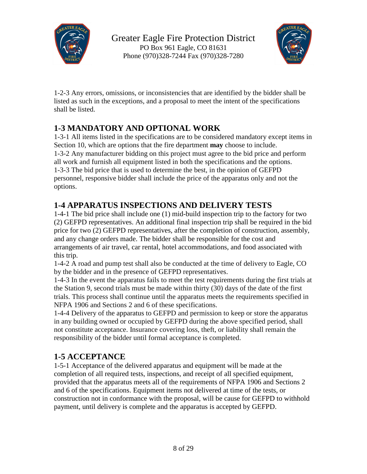



1-2-3 Any errors, omissions, or inconsistencies that are identified by the bidder shall be listed as such in the exceptions, and a proposal to meet the intent of the specifications shall be listed.

### **1-3 MANDATORY AND OPTIONAL WORK**

1-3-1 All items listed in the specifications are to be considered mandatory except items in Section 10, which are options that the fire department **may** choose to include. 1-3-2 Any manufacturer bidding on this project must agree to the bid price and perform all work and furnish all equipment listed in both the specifications and the options. 1-3-3 The bid price that is used to determine the best, in the opinion of GEFPD personnel, responsive bidder shall include the price of the apparatus only and not the options.

### **1-4 APPARATUS INSPECTIONS AND DELIVERY TESTS**

1-4-1 The bid price shall include one (1) mid-build inspection trip to the factory for two (2) GEFPD representatives. An additional final inspection trip shall be required in the bid price for two (2) GEFPD representatives, after the completion of construction, assembly, and any change orders made. The bidder shall be responsible for the cost and arrangements of air travel, car rental, hotel accommodations, and food associated with this trip.

1-4-2 A road and pump test shall also be conducted at the time of delivery to Eagle, CO by the bidder and in the presence of GEFPD representatives.

1-4-3 In the event the apparatus fails to meet the test requirements during the first trials at the Station 9, second trials must be made within thirty (30) days of the date of the first trials. This process shall continue until the apparatus meets the requirements specified in NFPA 1906 and Sections 2 and 6 of these specifications.

1-4-4 Delivery of the apparatus to GEFPD and permission to keep or store the apparatus in any building owned or occupied by GEFPD during the above specified period, shall not constitute acceptance. Insurance covering loss, theft, or liability shall remain the responsibility of the bidder until formal acceptance is completed.

#### **1-5 ACCEPTANCE**

1-5-1 Acceptance of the delivered apparatus and equipment will be made at the completion of all required tests, inspections, and receipt of all specified equipment, provided that the apparatus meets all of the requirements of NFPA 1906 and Sections 2 and 6 of the specifications. Equipment items not delivered at time of the tests, or construction not in conformance with the proposal, will be cause for GEFPD to withhold payment, until delivery is complete and the apparatus is accepted by GEFPD.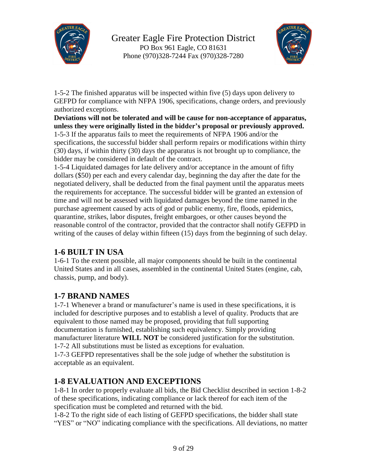



1-5-2 The finished apparatus will be inspected within five (5) days upon delivery to GEFPD for compliance with NFPA 1906, specifications, change orders, and previously authorized exceptions.

**Deviations will not be tolerated and will be cause for non-acceptance of apparatus, unless they were originally listed in the bidder's proposal or previously approved.** 1-5-3 If the apparatus fails to meet the requirements of NFPA 1906 and/or the specifications, the successful bidder shall perform repairs or modifications within thirty (30) days, if within thirty (30) days the apparatus is not brought up to compliance, the bidder may be considered in default of the contract.

1-5-4 Liquidated damages for late delivery and/or acceptance in the amount of fifty dollars (\$50) per each and every calendar day, beginning the day after the date for the negotiated delivery, shall be deducted from the final payment until the apparatus meets the requirements for acceptance. The successful bidder will be granted an extension of time and will not be assessed with liquidated damages beyond the time named in the purchase agreement caused by acts of god or public enemy, fire, floods, epidemics, quarantine, strikes, labor disputes, freight embargoes, or other causes beyond the reasonable control of the contractor, provided that the contractor shall notify GEFPD in writing of the causes of delay within fifteen (15) days from the beginning of such delay.

#### **1-6 BUILT IN USA**

1-6-1 To the extent possible, all major components should be built in the continental United States and in all cases, assembled in the continental United States (engine, cab, chassis, pump, and body).

#### **1-7 BRAND NAMES**

1-7-1 Whenever a brand or manufacturer's name is used in these specifications, it is included for descriptive purposes and to establish a level of quality. Products that are equivalent to those named may be proposed, providing that full supporting documentation is furnished, establishing such equivalency. Simply providing manufacturer literature **WILL NOT** be considered justification for the substitution. 1-7-2 All substitutions must be listed as exceptions for evaluation. 1-7-3 GEFPD representatives shall be the sole judge of whether the substitution is acceptable as an equivalent.

#### **1-8 EVALUATION AND EXCEPTIONS**

1-8-1 In order to properly evaluate all bids, the Bid Checklist described in section 1-8-2 of these specifications, indicating compliance or lack thereof for each item of the specification must be completed and returned with the bid.

1-8-2 To the right side of each listing of GEFPD specifications, the bidder shall state "YES" or "NO" indicating compliance with the specifications. All deviations, no matter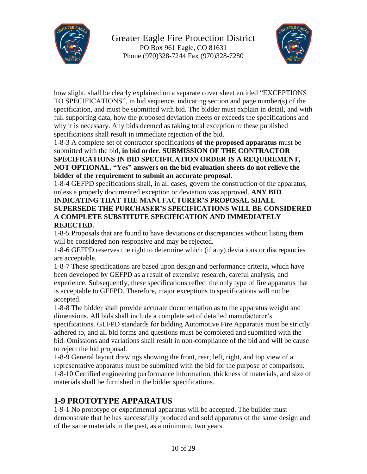



how slight, shall be clearly explained on a separate cover sheet entitled "EXCEPTIONS TO SPECIFICATIONS", in bid sequence, indicating section and page number(s) of the specification, and must be submitted with bid. The bidder must explain in detail, and with full supporting data, how the proposed deviation meets or exceeds the specifications and why it is necessary. Any bids deemed as taking total exception to these published specifications shall result in immediate rejection of the bid.

#### 1-8-3 A complete set of contractor specifications **of the proposed apparatus** must be submitted with the bid, **in bid order. SUBMISSION OF THE CONTRACTOR SPECIFICATIONS IN BID SPECIFICATION ORDER IS A REQUIREMENT, NOT OPTIONAL. "Yes" answers on the bid evaluation sheets do not relieve the bidder of the requirement to submit an accurate proposal.**

1-8-4 GEFPD specifications shall, in all cases, govern the construction of the apparatus, unless a properly documented exception or deviation was approved. **ANY BID**

#### **INDICATING THAT THE MANUFACTURER'S PROPOSAL SHALL SUPERSEDE THE PURCHASER'S SPECIFICATIONS WILL BE CONSIDERED A COMPLETE SUBSTITUTE SPECIFICATION AND IMMEDIATELY REJECTED.**

1-8-5 Proposals that are found to have deviations or discrepancies without listing them will be considered non-responsive and may be rejected.

1-8-6 GEFPD reserves the right to determine which (if any) deviations or discrepancies are acceptable.

1-8-7 These specifications are based upon design and performance criteria, which have been developed by GEFPD as a result of extensive research, careful analysis, and experience. Subsequently, these specifications reflect the only type of fire apparatus that is acceptable to GEFPD. Therefore, major exceptions to specifications will not be accepted.

1-8-8 The bidder shall provide accurate documentation as to the apparatus weight and dimensions. All bids shall include a complete set of detailed manufacturer's specifications. GEFPD standards for bidding Automotive Fire Apparatus must be strictly adhered to, and all bid forms and questions must be completed and submitted with the bid. Omissions and variations shall result in non-compliance of the bid and will be cause to reject the bid proposal.

1-8-9 General layout drawings showing the front, rear, left, right, and top view of a representative apparatus must be submitted with the bid for the purpose of comparison. 1-8-10 Certified engineering performance information, thickness of materials, and size of materials shall be furnished in the bidder specifications.

#### **1-9 PROTOTYPE APPARATUS**

1-9-1 No prototype or experimental apparatus will be accepted. The builder must demonstrate that he has successfully produced and sold apparatus of the same design and of the same materials in the past, as a minimum, two years.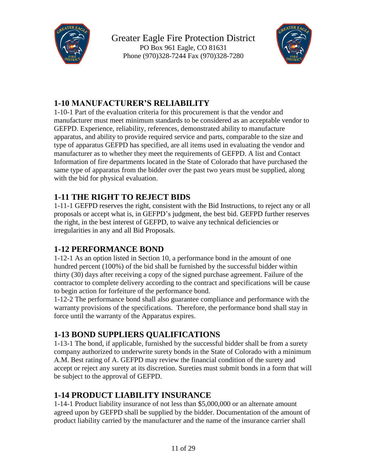



### **1-10 MANUFACTURER'S RELIABILITY**

1-10-1 Part of the evaluation criteria for this procurement is that the vendor and manufacturer must meet minimum standards to be considered as an acceptable vendor to GEFPD. Experience, reliability, references, demonstrated ability to manufacture apparatus, and ability to provide required service and parts, comparable to the size and type of apparatus GEFPD has specified, are all items used in evaluating the vendor and manufacturer as to whether they meet the requirements of GEFPD. A list and Contact Information of fire departments located in the State of Colorado that have purchased the same type of apparatus from the bidder over the past two years must be supplied, along with the bid for physical evaluation.

### **1-11 THE RIGHT TO REJECT BIDS**

1-11-1 GEFPD reserves the right, consistent with the Bid Instructions, to reject any or all proposals or accept what is, in GEFPD's judgment, the best bid. GEFPD further reserves the right, in the best interest of GEFPD, to waive any technical deficiencies or irregularities in any and all Bid Proposals.

### **1-12 PERFORMANCE BOND**

1-12-1 As an option listed in Section 10, a performance bond in the amount of one hundred percent (100%) of the bid shall be furnished by the successful bidder within thirty (30) days after receiving a copy of the signed purchase agreement. Failure of the contractor to complete delivery according to the contract and specifications will be cause to begin action for forfeiture of the performance bond.

1-12-2 The performance bond shall also guarantee compliance and performance with the warranty provisions of the specifications. Therefore, the performance bond shall stay in force until the warranty of the Apparatus expires.

### **1-13 BOND SUPPLIERS QUALIFICATIONS**

1-13-1 The bond, if applicable, furnished by the successful bidder shall be from a surety company authorized to underwrite surety bonds in the State of Colorado with a minimum A.M. Best rating of A. GEFPD may review the financial condition of the surety and accept or reject any surety at its discretion. Sureties must submit bonds in a form that will be subject to the approval of GEFPD.

#### **1-14 PRODUCT LIABILITY INSURANCE**

1-14-1 Product liability insurance of not less than \$5,000,000 or an alternate amount agreed upon by GEFPD shall be supplied by the bidder. Documentation of the amount of product liability carried by the manufacturer and the name of the insurance carrier shall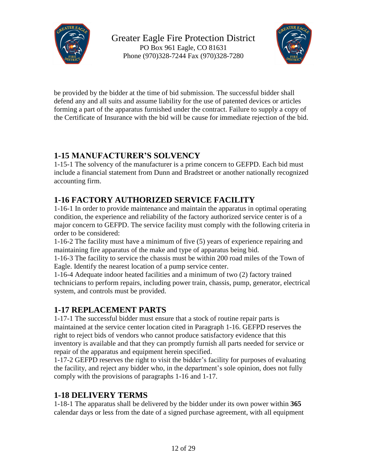



be provided by the bidder at the time of bid submission. The successful bidder shall defend any and all suits and assume liability for the use of patented devices or articles forming a part of the apparatus furnished under the contract. Failure to supply a copy of the Certificate of Insurance with the bid will be cause for immediate rejection of the bid.

#### **1-15 MANUFACTURER'S SOLVENCY**

1-15-1 The solvency of the manufacturer is a prime concern to GEFPD. Each bid must include a financial statement from Dunn and Bradstreet or another nationally recognized accounting firm.

#### **1-16 FACTORY AUTHORIZED SERVICE FACILITY**

1-16-1 In order to provide maintenance and maintain the apparatus in optimal operating condition, the experience and reliability of the factory authorized service center is of a major concern to GEFPD. The service facility must comply with the following criteria in order to be considered:

1-16-2 The facility must have a minimum of five (5) years of experience repairing and maintaining fire apparatus of the make and type of apparatus being bid.

1-16-3 The facility to service the chassis must be within 200 road miles of the Town of Eagle. Identify the nearest location of a pump service center.

1-16-4 Adequate indoor heated facilities and a minimum of two (2) factory trained technicians to perform repairs, including power train, chassis, pump, generator, electrical system, and controls must be provided.

#### **1-17 REPLACEMENT PARTS**

1-17-1 The successful bidder must ensure that a stock of routine repair parts is maintained at the service center location cited in Paragraph 1-16. GEFPD reserves the right to reject bids of vendors who cannot produce satisfactory evidence that this inventory is available and that they can promptly furnish all parts needed for service or repair of the apparatus and equipment herein specified.

1-17-2 GEFPD reserves the right to visit the bidder's facility for purposes of evaluating the facility, and reject any bidder who, in the department's sole opinion, does not fully comply with the provisions of paragraphs 1-16 and 1-17.

#### **1-18 DELIVERY TERMS**

1-18-1 The apparatus shall be delivered by the bidder under its own power within **365** calendar days or less from the date of a signed purchase agreement, with all equipment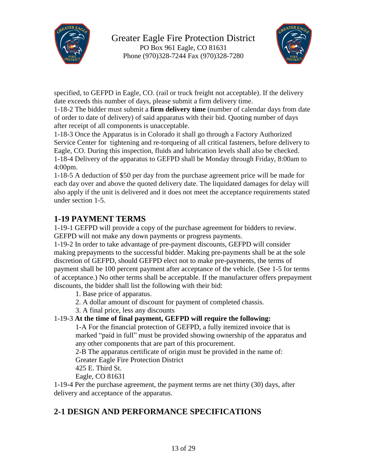



specified, to GEFPD in Eagle, CO. (rail or truck freight not acceptable). If the delivery date exceeds this number of days, please submit a firm delivery time.

1-18-2 The bidder must submit a **firm delivery time** (number of calendar days from date of order to date of delivery) of said apparatus with their bid. Quoting number of days after receipt of all components is unacceptable.

1-18-3 Once the Apparatus is in Colorado it shall go through a Factory Authorized Service Center for tightening and re-torqueing of all critical fasteners, before delivery to Eagle, CO. During this inspection, fluids and lubrication levels shall also be checked. 1-18-4 Delivery of the apparatus to GEFPD shall be Monday through Friday, 8:00am to 4:00pm.

1-18-5 A deduction of \$50 per day from the purchase agreement price will be made for each day over and above the quoted delivery date. The liquidated damages for delay will also apply if the unit is delivered and it does not meet the acceptance requirements stated under section 1-5.

#### **1-19 PAYMENT TERMS**

1-19-1 GEFPD will provide a copy of the purchase agreement for bidders to review. GEFPD will not make any down payments or progress payments.

1-19-2 In order to take advantage of pre-payment discounts, GEFPD will consider making prepayments to the successful bidder. Making pre-payments shall be at the sole discretion of GEFPD, should GEFPD elect not to make pre-payments, the terms of payment shall be 100 percent payment after acceptance of the vehicle. (See 1-5 for terms of acceptance.) No other terms shall be acceptable. If the manufacturer offers prepayment discounts, the bidder shall list the following with their bid:

1. Base price of apparatus.

- 2. A dollar amount of discount for payment of completed chassis.
- 3. A final price, less any discounts

#### 1-19-3 **At the time of final payment, GEFPD will require the following:**

1-A For the financial protection of GEFPD, a fully itemized invoice that is marked "paid in full" must be provided showing ownership of the apparatus and any other components that are part of this procurement.

2-B The apparatus certificate of origin must be provided in the name of:

Greater Eagle Fire Protection District

425 E. Third St.

Eagle, CO 81631

1-19-4 Per the purchase agreement, the payment terms are net thirty (30) days, after delivery and acceptance of the apparatus.

### **2-1 DESIGN AND PERFORMANCE SPECIFICATIONS**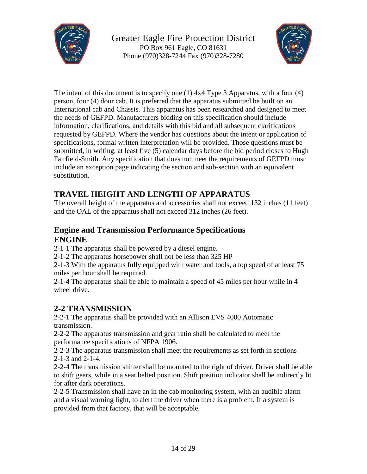



The intent of this document is to specify one (1) 4x4 Type 3 Apparatus, with a four (4) person, four (4) door cab. It is preferred that the apparatus submitted be built on an International cab and Chassis. This apparatus has been researched and designed to meet the needs of GEFPD. Manufacturers bidding on this specification should include information, clarifications, and details with this bid and all subsequent clarifications requested by GEFPD. Where the vendor has questions about the intent or application of specifications, formal written interpretation will be provided. Those questions must be submitted, in writing, at least five (5) calendar days before the bid period closes to Hugh Fairfield-Smith. Any specification that does not meet the requirements of GEFPD must include an exception page indicating the section and sub-section with an equivalent substitution.

### **TRAVEL HEIGHT AND LENGTH OF APPARATUS**

The overall height of the apparatus and accessories shall not exceed 132 inches (11 feet) and the OAL of the apparatus shall not exceed 312 inches (26 feet).

#### **Engine and Transmission Performance Specifications ENGINE**

2-1-1 The apparatus shall be powered by a diesel engine.

2-1-2 The apparatus horsepower shall not be less than 325 HP

2-1-3 With the apparatus fully equipped with water and tools, a top speed of at least 75 miles per hour shall be required.

2-1-4 The apparatus shall be able to maintain a speed of 45 miles per hour while in 4 wheel drive.

### **2-2 TRANSMISSION**

2-2-1 The apparatus shall be provided with an Allison EVS 4000 Automatic transmission.

2-2-2 The apparatus transmission and gear ratio shall be calculated to meet the performance specifications of NFPA 1906.

2-2-3 The apparatus transmission shall meet the requirements as set forth in sections 2-1-3 and 2-1-4.

2-2-4 The transmission shifter shall be mounted to the right of driver. Driver shall be able to shift gears, while in a seat belted position. Shift position indicator shall be indirectly lit for after dark operations.

2-2-5 Transmission shall have an in the cab monitoring system, with an audible alarm and a visual warning light, to alert the driver when there is a problem. If a system is provided from that factory, that will be acceptable.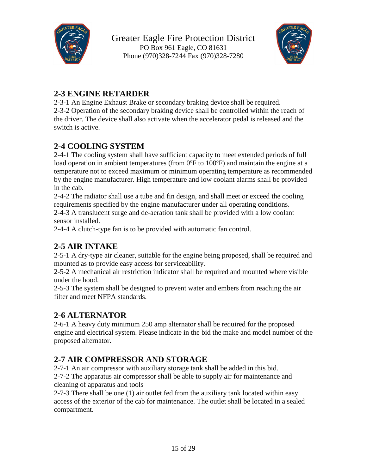



### **2-3 ENGINE RETARDER**

2-3-1 An Engine Exhaust Brake or secondary braking device shall be required. 2-3-2 Operation of the secondary braking device shall be controlled within the reach of the driver. The device shall also activate when the accelerator pedal is released and the switch is active.

### **2-4 COOLING SYSTEM**

2-4-1 The cooling system shall have sufficient capacity to meet extended periods of full load operation in ambient temperatures (from 0°F to 100°F) and maintain the engine at a temperature not to exceed maximum or minimum operating temperature as recommended by the engine manufacturer. High temperature and low coolant alarms shall be provided in the cab.

2-4-2 The radiator shall use a tube and fin design, and shall meet or exceed the cooling requirements specified by the engine manufacturer under all operating conditions. 2-4-3 A translucent surge and de-aeration tank shall be provided with a low coolant

sensor installed.

2-4-4 A clutch-type fan is to be provided with automatic fan control.

### **2-5 AIR INTAKE**

2-5-1 A dry-type air cleaner, suitable for the engine being proposed, shall be required and mounted as to provide easy access for serviceability.

2-5-2 A mechanical air restriction indicator shall be required and mounted where visible under the hood.

2-5-3 The system shall be designed to prevent water and embers from reaching the air filter and meet NFPA standards.

#### **2-6 ALTERNATOR**

2-6-1 A heavy duty minimum 250 amp alternator shall be required for the proposed engine and electrical system. Please indicate in the bid the make and model number of the proposed alternator.

#### **2-7 AIR COMPRESSOR AND STORAGE**

2-7-1 An air compressor with auxiliary storage tank shall be added in this bid. 2-7-2 The apparatus air compressor shall be able to supply air for maintenance and cleaning of apparatus and tools

2-7-3 There shall be one (1) air outlet fed from the auxiliary tank located within easy access of the exterior of the cab for maintenance. The outlet shall be located in a sealed compartment.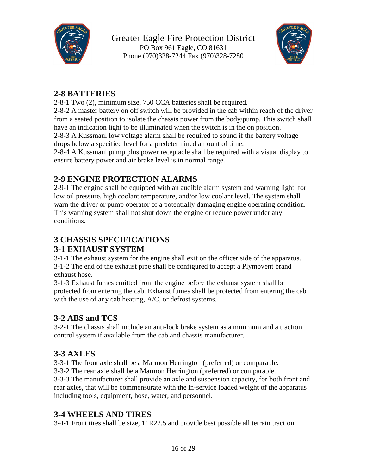



#### **2-8 BATTERIES**

2-8-1 Two (2), minimum size, 750 CCA batteries shall be required.

2-8-2 A master battery on off switch will be provided in the cab within reach of the driver from a seated position to isolate the chassis power from the body/pump. This switch shall have an indication light to be illuminated when the switch is in the on position.

2-8-3 A Kussmaul low voltage alarm shall be required to sound if the battery voltage drops below a specified level for a predetermined amount of time.

2-8-4 A Kussmaul pump plus power receptacle shall be required with a visual display to ensure battery power and air brake level is in normal range.

### **2-9 ENGINE PROTECTION ALARMS**

2-9-1 The engine shall be equipped with an audible alarm system and warning light, for low oil pressure, high coolant temperature, and/or low coolant level. The system shall warn the driver or pump operator of a potentially damaging engine operating condition. This warning system shall not shut down the engine or reduce power under any conditions.

### **3 CHASSIS SPECIFICATIONS**

#### **3-1 EXHAUST SYSTEM**

3-1-1 The exhaust system for the engine shall exit on the officer side of the apparatus. 3-1-2 The end of the exhaust pipe shall be configured to accept a Plymovent brand exhaust hose.

3-1-3 Exhaust fumes emitted from the engine before the exhaust system shall be protected from entering the cab. Exhaust fumes shall be protected from entering the cab with the use of any cab heating, A/C, or defrost systems.

#### **3-2 ABS and TCS**

3-2-1 The chassis shall include an anti-lock brake system as a minimum and a traction control system if available from the cab and chassis manufacturer.

### **3-3 AXLES**

3-3-1 The front axle shall be a Marmon Herrington (preferred) or comparable.

3-3-2 The rear axle shall be a Marmon Herrington (preferred) or comparable.

3-3-3 The manufacturer shall provide an axle and suspension capacity, for both front and rear axles, that will be commensurate with the in-service loaded weight of the apparatus including tools, equipment, hose, water, and personnel.

#### **3-4 WHEELS AND TIRES**

3-4-1 Front tires shall be size, 11R22.5 and provide best possible all terrain traction.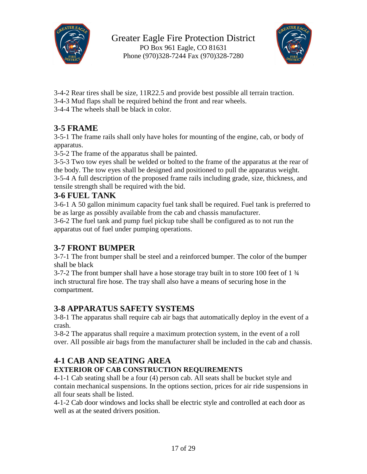



- 3-4-2 Rear tires shall be size, 11R22.5 and provide best possible all terrain traction.
- 3-4-3 Mud flaps shall be required behind the front and rear wheels.
- 3-4-4 The wheels shall be black in color.

### **3-5 FRAME**

3-5-1 The frame rails shall only have holes for mounting of the engine, cab, or body of apparatus.

3-5-2 The frame of the apparatus shall be painted.

3-5-3 Two tow eyes shall be welded or bolted to the frame of the apparatus at the rear of the body. The tow eyes shall be designed and positioned to pull the apparatus weight. 3-5-4 A full description of the proposed frame rails including grade, size, thickness, and tensile strength shall be required with the bid.

#### **3-6 FUEL TANK**

3-6-1 A 50 gallon minimum capacity fuel tank shall be required. Fuel tank is preferred to be as large as possibly available from the cab and chassis manufacturer.

3-6-2 The fuel tank and pump fuel pickup tube shall be configured as to not run the apparatus out of fuel under pumping operations.

#### **3-7 FRONT BUMPER**

3-7-1 The front bumper shall be steel and a reinforced bumper. The color of the bumper shall be black

3-7-2 The front bumper shall have a hose storage tray built in to store 100 feet of 1 ¾ inch structural fire hose. The tray shall also have a means of securing hose in the compartment.

### **3-8 APPARATUS SAFETY SYSTEMS**

3-8-1 The apparatus shall require cab air bags that automatically deploy in the event of a crash.

3-8-2 The apparatus shall require a maximum protection system, in the event of a roll over. All possible air bags from the manufacturer shall be included in the cab and chassis.

#### **4-1 CAB AND SEATING AREA**

#### **EXTERIOR OF CAB CONSTRUCTION REQUIREMENTS**

4-1-1 Cab seating shall be a four (4) person cab. All seats shall be bucket style and contain mechanical suspensions. In the options section, prices for air ride suspensions in all four seats shall be listed.

4-1-2 Cab door windows and locks shall be electric style and controlled at each door as well as at the seated drivers position.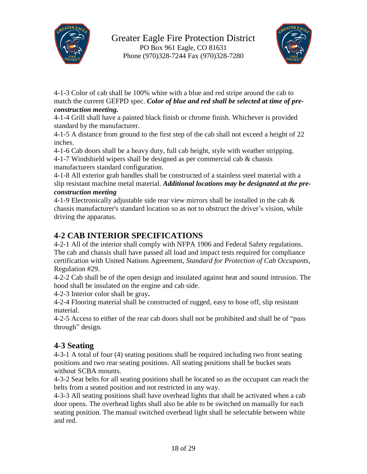



4-1-3 Color of cab shall be 100% white with a blue and red stripe around the cab to match the current GEFPD spec. *Color of blue and red shall be selected at time of preconstruction meeting.*

4-1-4 Grill shall have a painted black finish or chrome finish. Whichever is provided standard by the manufacturer.

4-1-5 A distance from ground to the first step of the cab shall not exceed a height of 22 inches.

4-1-6 Cab doors shall be a heavy duty, full cab height, style with weather stripping.

4-1-7 Windshield wipers shall be designed as per commercial cab & chassis manufacturers standard configuration.

4-1-8 All exterior grab handles shall be constructed of a stainless steel material with a slip resistant machine metal material. *Additional locations may be designated at the preconstruction meeting*

4-1-9 Electronically adjustable side rear view mirrors shall be installed in the cab  $\&$ chassis manufacturer's standard location so as not to obstruct the driver's vision, while driving the apparatus.

#### **4-2 CAB INTERIOR SPECIFICATIONS**

4-2-1 All of the interior shall comply with NFPA 1906 and Federal Safety regulations. The cab and chassis shall have passed all load and impact tests required for compliance certification with United Nations Agreement, *Standard for Protection of Cab Occupants*, Regulation #29.

4-2-2 Cab shall be of the open design and insulated against heat and sound intrusion. The hood shall be insulated on the engine and cab side.

4-2-3 Interior color shall be gray**.**

4-2-4 Flooring material shall be constructed of rugged, easy to hose off, slip resistant material.

4-2-5 Access to either of the rear cab doors shall not be prohibited and shall be of "pass through" design.

#### **4-3 Seating**

4-3-1 A total of four (4) seating positions shall be required including two front seating positions and two rear seating positions. All seating positions shall be bucket seats without SCBA mounts.

4-3-2 Seat belts for all seating positions shall be located so as the occupant can reach the belts from a seated position and not restricted in any way.

4-3-3 All seating positions shall have overhead lights that shall be activated when a cab door opens. The overhead lights shall also be able to be switched on manually for each seating position. The manual switched overhead light shall be selectable between white and red.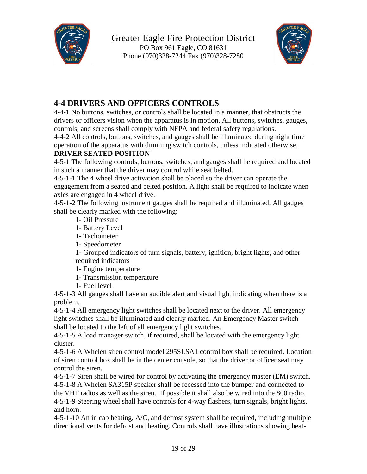



### **4-4 DRIVERS AND OFFICERS CONTROLS**

4-4-1 No buttons, switches, or controls shall be located in a manner, that obstructs the drivers or officers vision when the apparatus is in motion. All buttons, switches, gauges, controls, and screens shall comply with NFPA and federal safety regulations.

4-4-2 All controls, buttons, switches, and gauges shall be illuminated during night time operation of the apparatus with dimming switch controls, unless indicated otherwise.

#### **DRIVER SEATED POSITION**

4-5-1 The following controls, buttons, switches, and gauges shall be required and located in such a manner that the driver may control while seat belted.

4-5-1-1 The 4 wheel drive activation shall be placed so the driver can operate the engagement from a seated and belted position. A light shall be required to indicate when axles are engaged in 4 wheel drive.

4-5-1-2 The following instrument gauges shall be required and illuminated. All gauges shall be clearly marked with the following:

1- Oil Pressure

1- Battery Level

1- Tachometer

1- Speedometer

1- Grouped indicators of turn signals, battery, ignition, bright lights, and other required indicators

1- Engine temperature

1- Transmission temperature

1- Fuel level

4-5-1-3 All gauges shall have an audible alert and visual light indicating when there is a problem.

4-5-1-4 All emergency light switches shall be located next to the driver. All emergency light switches shall be illuminated and clearly marked. An Emergency Master switch shall be located to the left of all emergency light switches.

4-5-1-5 A load manager switch, if required, shall be located with the emergency light cluster.

4-5-1-6 A Whelen siren control model 295SLSA1 control box shall be required. Location of siren control box shall be in the center console, so that the driver or officer seat may control the siren.

4-5-1-7 Siren shall be wired for control by activating the emergency master (EM) switch. 4-5-1-8 A Whelen SA315P speaker shall be recessed into the bumper and connected to the VHF radios as well as the siren. If possible it shall also be wired into the 800 radio. 4-5-1-9 Steering wheel shall have controls for 4-way flashers, turn signals, bright lights, and horn.

4-5-1-10 An in cab heating, A/C, and defrost system shall be required, including multiple directional vents for defrost and heating. Controls shall have illustrations showing heat-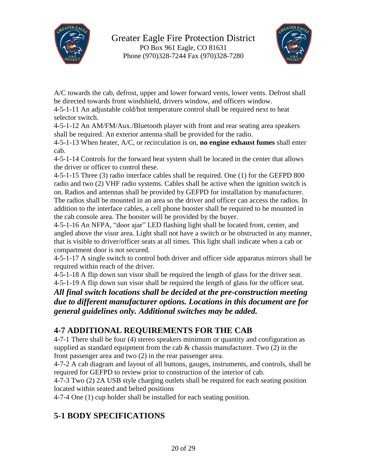



A/C towards the cab, defrost, upper and lower forward vents, lower vents. Defrost shall be directed towards front windshield, drivers window, and officers window.

4-5-1-11 An adjustable cold/hot temperature control shall be required next to heat selector switch.

4-5-1-12 An AM/FM/Aux./Bluetooth player with front and rear seating area speakers shall be required. An exterior antenna shall be provided for the radio.

4-5-1-13 When heater, A/C, or recirculation is on, **no engine exhaust fumes** shall enter cab.

4-5-1-14 Controls for the forward heat system shall be located in the center that allows the driver or officer to control these.

4-5-1-15 Three (3) radio interface cables shall be required. One (1) for the GEFPD 800 radio and two (2) VHF radio systems. Cables shall be active when the ignition switch is on. Radios and antennas shall be provided by GEFPD for installation by manufacturer. The radios shall be mounted in an area so the driver and officer can access the radios. In addition to the interface cables, a cell phone booster shall be required to be mounted in the cab console area. The booster will be provided by the buyer.

4-5-1-16 An NFPA, "door ajar" LED flashing light shall be located front, center, and angled above the visor area. Light shall not have a switch or be obstructed in any manner, that is visible to driver/officer seats at all times. This light shall indicate when a cab or compartment door is not secured.

4-5-1-17 A single switch to control both driver and officer side apparatus mirrors shall be required within reach of the driver.

4-5-1-18 A flip down sun visor shall be required the length of glass for the driver seat. 4-5-1-19 A flip down sun visor shall be required the length of glass for the officer seat.

*All final switch locations shall be decided at the pre-construction meeting due to different manufacturer options. Locations in this document are for general guidelines only. Additional switches may be added.*

#### **4-7 ADDITIONAL REQUIREMENTS FOR THE CAB**

4-7-1 There shall be four (4) stereo speakers minimum or quantity and configuration as supplied as standard equipment from the cab  $\&$  chassis manufacturer. Two (2) in the front passenger area and two (2) in the rear passenger area.

4-7-2 A cab diagram and layout of all buttons, gauges, instruments, and controls, shall be required for GEFPD to review prior to construction of the interior of cab.

4-7-3 Two (2) 2A USB style charging outlets shall be required for each seating position located within seated and belted positions

4-7-4 One (1) cup holder shall be installed for each seating position.

### **5-1 BODY SPECIFICATIONS**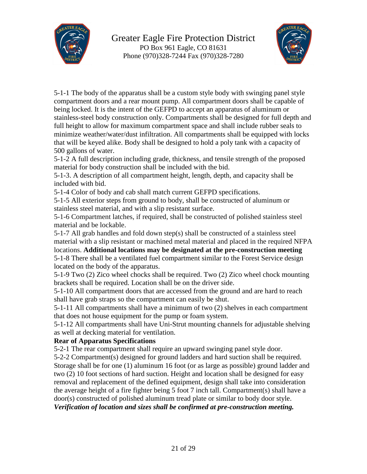



5-1-1 The body of the apparatus shall be a custom style body with swinging panel style compartment doors and a rear mount pump. All compartment doors shall be capable of being locked. It is the intent of the GEFPD to accept an apparatus of aluminum or stainless-steel body construction only. Compartments shall be designed for full depth and full height to allow for maximum compartment space and shall include rubber seals to minimize weather/water/dust infiltration. All compartments shall be equipped with locks that will be keyed alike. Body shall be designed to hold a poly tank with a capacity of 500 gallons of water.

5-1-2 A full description including grade, thickness, and tensile strength of the proposed material for body construction shall be included with the bid.

5-1-3. A description of all compartment height, length, depth, and capacity shall be included with bid.

5-1-4 Color of body and cab shall match current GEFPD specifications.

5-1-5 All exterior steps from ground to body, shall be constructed of aluminum or stainless steel material, and with a slip resistant surface.

5-1-6 Compartment latches, if required, shall be constructed of polished stainless steel material and be lockable.

5-1-7 All grab handles and fold down step(s) shall be constructed of a stainless steel material with a slip resistant or machined metal material and placed in the required NFPA locations. **Additional locations may be designated at the pre-construction meeting** 5-1-8 There shall be a ventilated fuel compartment similar to the Forest Service design located on the body of the apparatus.

5-1-9 Two (2) Zico wheel chocks shall be required. Two (2) Zico wheel chock mounting brackets shall be required. Location shall be on the driver side.

5-1-10 All compartment doors that are accessed from the ground and are hard to reach shall have grab straps so the compartment can easily be shut.

5-1-11 All compartments shall have a minimum of two (2) shelves in each compartment that does not house equipment for the pump or foam system.

5-1-12 All compartments shall have Uni-Strut mounting channels for adjustable shelving as well at decking material for ventilation.

#### **Rear of Apparatus Specifications**

5-2-1 The rear compartment shall require an upward swinging panel style door.

5-2-2 Compartment(s) designed for ground ladders and hard suction shall be required. Storage shall be for one (1) aluminum 16 foot (or as large as possible) ground ladder and two (2) 10 foot sections of hard suction. Height and location shall be designed for easy removal and replacement of the defined equipment, design shall take into consideration the average height of a fire fighter being 5 foot 7 inch tall. Compartment(s) shall have a door(s) constructed of polished aluminum tread plate or similar to body door style. *Verification of location and sizes shall be confirmed at pre-construction meeting.*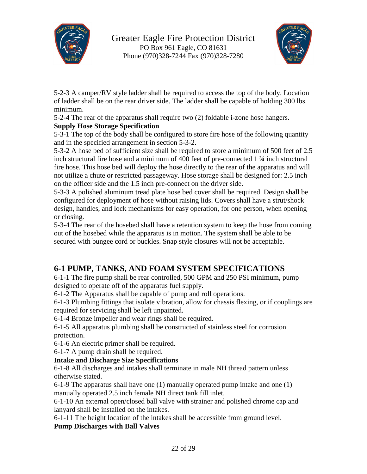



5-2-3 A camper/RV style ladder shall be required to access the top of the body. Location of ladder shall be on the rear driver side. The ladder shall be capable of holding 300 lbs. minimum.

5-2-4 The rear of the apparatus shall require two (2) foldable i-zone hose hangers. **Supply Hose Storage Specification**

5-3-1 The top of the body shall be configured to store fire hose of the following quantity and in the specified arrangement in section 5-3-2.

5-3-2 A hose bed of sufficient size shall be required to store a minimum of 500 feet of 2.5 inch structural fire hose and a minimum of 400 feet of pre-connected 1 ¾ inch structural fire hose. This hose bed will deploy the hose directly to the rear of the apparatus and will not utilize a chute or restricted passageway. Hose storage shall be designed for: 2.5 inch on the officer side and the 1.5 inch pre-connect on the driver side.

5-3-3 A polished aluminum tread plate hose bed cover shall be required. Design shall be configured for deployment of hose without raising lids. Covers shall have a strut/shock design, handles, and lock mechanisms for easy operation, for one person, when opening or closing.

5-3-4 The rear of the hosebed shall have a retention system to keep the hose from coming out of the hosebed while the apparatus is in motion. The system shall be able to be secured with bungee cord or buckles. Snap style closures will not be acceptable.

#### **6-1 PUMP, TANKS, AND FOAM SYSTEM SPECIFICATIONS**

6-1-1 The fire pump shall be rear controlled, 500 GPM and 250 PSI minimum, pump designed to operate off of the apparatus fuel supply.

6-1-2 The Apparatus shall be capable of pump and roll operations.

6-1-3 Plumbing fittings that isolate vibration, allow for chassis flexing, or if couplings are required for servicing shall be left unpainted.

6-1-4 Bronze impeller and wear rings shall be required.

6-1-5 All apparatus plumbing shall be constructed of stainless steel for corrosion protection.

6-1-6 An electric primer shall be required.

6-1-7 A pump drain shall be required.

#### **Intake and Discharge Size Specifications**

6-1-8 All discharges and intakes shall terminate in male NH thread pattern unless otherwise stated.

6-1-9 The apparatus shall have one (1) manually operated pump intake and one (1) manually operated 2.5 inch female NH direct tank fill inlet.

6-1-10 An external open/closed ball valve with strainer and polished chrome cap and lanyard shall be installed on the intakes.

6-1-11 The height location of the intakes shall be accessible from ground level.

**Pump Discharges with Ball Valves**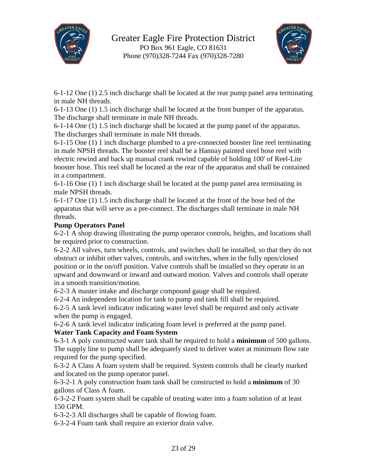



6-1-12 One (1) 2.5 inch discharge shall be located at the rear pump panel area terminating in male NH threads.

6-1-13 One (1) 1.5 inch discharge shall be located at the front bumper of the apparatus. The discharge shall terminate in male NH threads.

6-1-14 One (1) 1.5 inch discharge shall be located at the pump panel of the apparatus. The discharges shall terminate in male NH threads.

6-1-15 One (1) 1 inch discharge plumbed to a pre-connected booster line reel terminating in male NPSH threads. The booster reel shall be a Hannay painted steel hose reel with electric rewind and back up manual crank rewind capable of holding 100' of Reel-Lite booster hose. This reel shall be located at the rear of the apparatus and shall be contained in a compartment.

6-1-16 One (1) 1 inch discharge shall be located at the pump panel area terminating in male NPSH threads.

6-1-17 One (1) 1.5 inch discharge shall be located at the front of the hose bed of the apparatus that will serve as a pre-connect. The discharges shall terminate in male NH threads.

#### **Pump Operators Panel**

6-2-1 A shop drawing illustrating the pump operator controls, heights, and locations shall be required prior to construction.

6-2-2 All valves, turn wheels, controls, and switches shall be installed, so that they do not obstruct or inhibit other valves, controls, and switches, when in the fully open/closed position or in the on/off position. Valve controls shall be installed so they operate in an upward and downward or inward and outward motion. Valves and controls shall operate in a smooth transition/motion.

6-2-3 A master intake and discharge compound gauge shall be required.

6-2-4 An independent location for tank to pump and tank fill shall be required.

6-2-5 A tank level indicator indicating water level shall be required and only activate when the pump is engaged.

6-2-6 A tank level indicator indicating foam level is preferred at the pump panel.

#### **Water Tank Capacity and Foam System**

6-3-1 A poly constructed water tank shall be required to hold a **minimum** of 500 gallons. The supply line to pump shall be adequately sized to deliver water at minimum flow rate required for the pump specified.

6-3-2 A Class A foam system shall be required. System controls shall be clearly marked and located on the pump operator panel.

6-3-2-1 A poly construction foam tank shall be constructed to hold a **minimum** of 30 gallons of Class A foam.

6-3-2-2 Foam system shall be capable of treating water into a foam solution of at least 150 GPM.

6-3-2-3 All discharges shall be capable of flowing foam.

6-3-2-4 Foam tank shall require an exterior drain valve.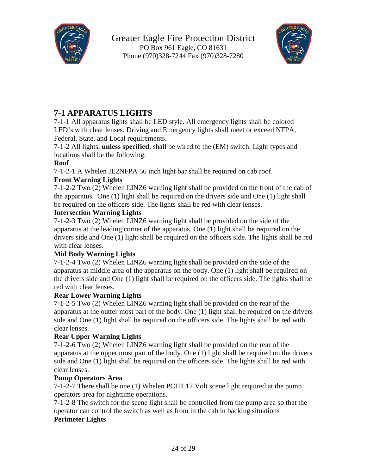



### **7-1 APPARATUS LIGHTS**

7-1-1 All apparatus lights shall be LED style. All emergency lights shall be colored LED's with clear lenses. Driving and Emergency lights shall meet or exceed NFPA, Federal, State, and Local requirements.

7-1-2 All lights, **unless specified**, shall be wired to the (EM) switch. Light types and locations shall be the following:

#### **Roof**

7-1-2-1 A Whelen JE2NFPA 56 inch light bar shall be required on cab roof.

#### **Front Warning Lights**

7-1-2-2 Two (2) Whelen LINZ6 warning light shall be provided on the front of the cab of the apparatus. One (1) light shall be required on the drivers side and One (1) light shall be required on the officers side. The lights shall be red with clear lenses.

#### **Intersection Warning Lights**

7-1-2-3 Two (2) Whelen LINZ6 warning light shall be provided on the side of the apparatus at the leading corner of the apparatus. One (1) light shall be required on the drivers side and One (1) light shall be required on the officers side. The lights shall be red with clear lenses.

#### **Mid Body Warning Lights**

7-1-2-4 Two (2) Whelen LINZ6 warning light shall be provided on the side of the apparatus at middle area of the apparatus on the body. One (1) light shall be required on the drivers side and One (1) light shall be required on the officers side. The lights shall be red with clear lenses.

#### **Rear Lower Warning Lights**

7-1-2-5 Two (2) Whelen LINZ6 warning light shall be provided on the rear of the apparatus at the outter most part of the body. One (1) light shall be required on the drivers side and One (1) light shall be required on the officers side. The lights shall be red with clear lenses.

#### **Rear Upper Warning Lights**

7-1-2-6 Two (2) Whelen LINZ6 warning light shall be provided on the rear of the apparatus at the upper most part of the body. One (1) light shall be required on the drivers side and One (1) light shall be required on the officers side. The lights shall be red with clear lenses.

#### **Pump Operators Area**

7-1-2-7 There shall be one (1) Whelen PCH1 12 Volt scene light required at the pump operators area for nighttime operations.

7-1-2-8 The switch for the scene light shall be controlled from the pump area so that the operator can control the switch as well as from in the cab in backing situations **Perimeter Lights**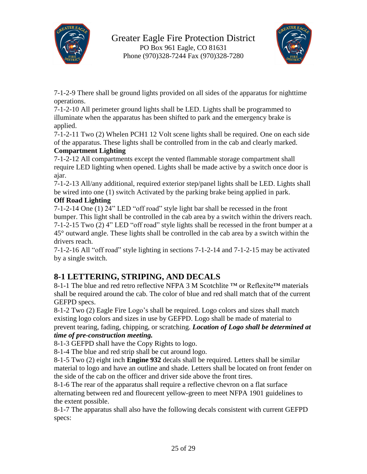



7-1-2-9 There shall be ground lights provided on all sides of the apparatus for nighttime operations.

7-1-2-10 All perimeter ground lights shall be LED. Lights shall be programmed to illuminate when the apparatus has been shifted to park and the emergency brake is applied.

7-1-2-11 Two (2) Whelen PCH1 12 Volt scene lights shall be required. One on each side of the apparatus. These lights shall be controlled from in the cab and clearly marked. **Compartment Lighting**

7-1-2-12 All compartments except the vented flammable storage compartment shall require LED lighting when opened. Lights shall be made active by a switch once door is ajar.

7-1-2-13 All/any additional, required exterior step/panel lights shall be LED. Lights shall be wired into one (1) switch Activated by the parking brake being applied in park.

#### **Off Road Lighting**

7-1-2-14 One (1) 24" LED "off road" style light bar shall be recessed in the front bumper. This light shall be controlled in the cab area by a switch within the drivers reach. 7-1-2-15 Two (2) 4" LED "off road" style lights shall be recessed in the front bumper at a 45° outward angle. These lights shall be controlled in the cab area by a switch within the drivers reach.

7-1-2-16 All "off road" style lighting in sections 7-1-2-14 and 7-1-2-15 may be activated by a single switch.

#### **8-1 LETTERING, STRIPING, AND DECALS**

8-1-1 The blue and red retro reflective NFPA 3 M Scotchlite ™ or Reflexite™ materials shall be required around the cab. The color of blue and red shall match that of the current GEFPD specs.

8-1-2 Two (2) Eagle Fire Logo's shall be required. Logo colors and sizes shall match existing logo colors and sizes in use by GEFPD. Logo shall be made of material to prevent tearing, fading, chipping, or scratching. *Location of Logo shall be determined at time of pre-construction meeting.*

8-1-3 GEFPD shall have the Copy Rights to logo.

8-1-4 The blue and red strip shall be cut around logo.

8-1-5 Two (2) eight inch **Engine 932** decals shall be required. Letters shall be similar material to logo and have an outline and shade. Letters shall be located on front fender on the side of the cab on the officer and driver side above the front tires.

8-1-6 The rear of the apparatus shall require a reflective chevron on a flat surface alternating between red and flourecent yellow-green to meet NFPA 1901 guidelines to the extent possible.

8-1-7 The apparatus shall also have the following decals consistent with current GEFPD specs: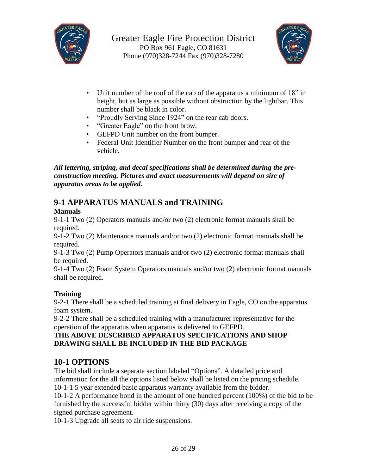



- Unit number of the roof of the cab of the apparatus a minimum of 18" in height, but as large as possible without obstruction by the lightbar. This number shall be black in color.
- "Proudly Serving Since 1924" on the rear cab doors.
- "Greater Eagle" on the front brow.
- GEFPD Unit number on the front bumper.
- Federal Unit Identifier Number on the front bumper and rear of the vehicle.

*All lettering, striping, and decal specifications shall be determined during the preconstruction meeting. Pictures and exact measurements will depend on size of apparatus areas to be applied.*

### **9-1 APPARATUS MANUALS and TRAINING**

#### **Manuals**

9-1-1 Two (2) Operators manuals and/or two (2) electronic format manuals shall be required.

9-1-2 Two (2) Maintenance manuals and/or two (2) electronic format manuals shall be required.

9-1-3 Two (2) Pump Operators manuals and/or two (2) electronic format manuals shall be required.

9-1-4 Two (2) Foam System Operators manuals and/or two (2) electronic format manuals shall be required.

#### **Training**

9-2-1 There shall be a scheduled training at final delivery in Eagle, CO on the apparatus foam system.

9-2-2 There shall be a scheduled training with a manufacturer representative for the operation of the apparatus when apparatus is delivered to GEFPD.

#### **THE ABOVE DESCRIBED APPARATUS SPECIFICATIONS AND SHOP DRAWING SHALL BE INCLUDED IN THE BID PACKAGE**

#### **10-1 OPTIONS**

The bid shall include a separate section labeled "Options". A detailed price and information for the all the options listed below shall be listed on the pricing schedule. 10-1-1 5 year extended basic apparatus warranty available from the bidder.

10-1-2 A performance bond in the amount of one hundred percent (100%) of the bid to be furnished by the successful bidder within thirty (30) days after receiving a copy of the signed purchase agreement.

10-1-3 Upgrade all seats to air ride suspensions.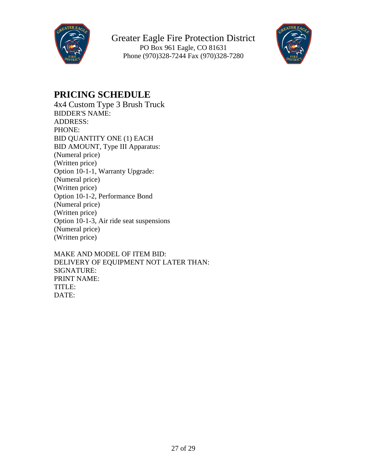



### **PRICING SCHEDULE**

4x4 Custom Type 3 Brush Truck BIDDER'S NAME: ADDRESS: PHONE: BID QUANTITY ONE (1) EACH BID AMOUNT, Type III Apparatus: (Numeral price) (Written price) Option 10-1-1, Warranty Upgrade: (Numeral price) (Written price) Option 10-1-2, Performance Bond (Numeral price) (Written price) Option 10-1-3, Air ride seat suspensions (Numeral price) (Written price)

MAKE AND MODEL OF ITEM BID: DELIVERY OF EQUIPMENT NOT LATER THAN: SIGNATURE: PRINT NAME: TITLE: DATE: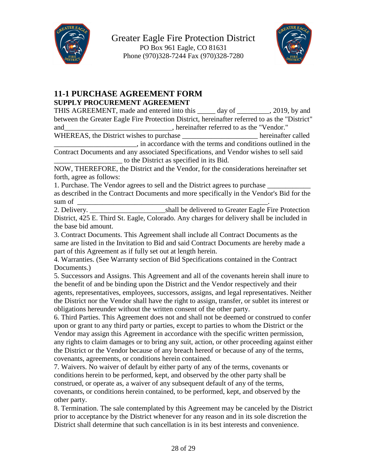



#### **11-1 PURCHASE AGREEMENT FORM SUPPLY PROCUREMENT AGREEMENT**

THIS AGREEMENT, made and entered into this \_\_\_\_\_ day of \_\_\_\_\_\_\_\_\_, 2019, by and between the Greater Eagle Fire Protection District, hereinafter referred to as the "District" and and and  $\blacksquare$ , hereinafter referred to as the "Vendor."

WHEREAS, the District wishes to purchase hereinafter called \_\_\_\_\_\_\_\_\_\_\_\_\_\_\_\_\_\_\_\_\_\_\_, in accordance with the terms and conditions outlined in the

Contract Documents and any associated Specifications, and Vendor wishes to sell said \_\_\_\_\_\_\_\_\_\_\_\_\_\_\_\_\_\_\_ to the District as specified in its Bid.

NOW, THEREFORE, the District and the Vendor, for the considerations hereinafter set forth, agree as follows:

1. Purchase. The Vendor agrees to sell and the District agrees to purchase \_\_\_\_\_\_\_\_\_\_\_\_ as described in the Contract Documents and more specifically in the Vendor's Bid for the

sum of  $\frac{1}{2}$ 

2. Delivery. Shall be delivered to Greater Eagle Fire Protection District, 425 E. Third St. Eagle, Colorado. Any charges for delivery shall be included in the base bid amount.

3. Contract Documents. This Agreement shall include all Contract Documents as the same are listed in the Invitation to Bid and said Contract Documents are hereby made a part of this Agreement as if fully set out at length herein.

4. Warranties. (See Warranty section of Bid Specifications contained in the Contract Documents.)

5. Successors and Assigns. This Agreement and all of the covenants herein shall inure to the benefit of and be binding upon the District and the Vendor respectively and their agents, representatives, employees, successors, assigns, and legal representatives. Neither the District nor the Vendor shall have the right to assign, transfer, or sublet its interest or obligations hereunder without the written consent of the other party.

6. Third Parties. This Agreement does not and shall not be deemed or construed to confer upon or grant to any third party or parties, except to parties to whom the District or the Vendor may assign this Agreement in accordance with the specific written permission, any rights to claim damages or to bring any suit, action, or other proceeding against either the District or the Vendor because of any breach hereof or because of any of the terms, covenants, agreements, or conditions herein contained.

7. Waivers. No waiver of default by either party of any of the terms, covenants or conditions herein to be performed, kept, and observed by the other party shall be construed, or operate as, a waiver of any subsequent default of any of the terms, covenants, or conditions herein contained, to be performed, kept, and observed by the other party.

8. Termination. The sale contemplated by this Agreement may be canceled by the District prior to acceptance by the District whenever for any reason and in its sole discretion the District shall determine that such cancellation is in its best interests and convenience.